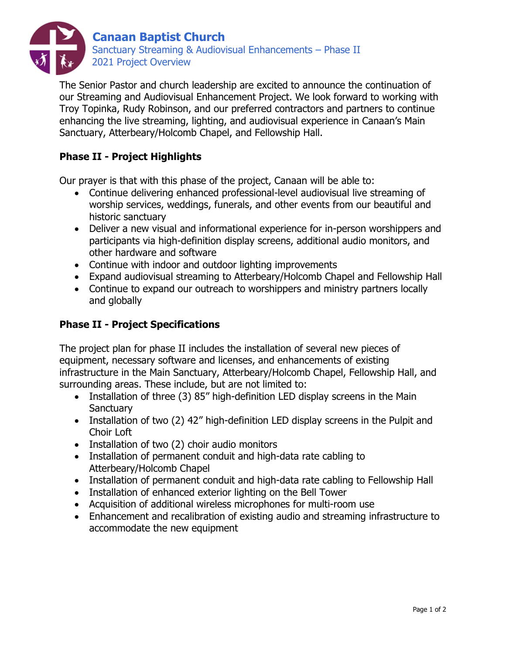

The Senior Pastor and church leadership are excited to announce the continuation of our Streaming and Audiovisual Enhancement Project. We look forward to working with Troy Topinka, Rudy Robinson, and our preferred contractors and partners to continue enhancing the live streaming, lighting, and audiovisual experience in Canaan's Main Sanctuary, Atterbeary/Holcomb Chapel, and Fellowship Hall.

## **Phase II - Project Highlights**

Our prayer is that with this phase of the project, Canaan will be able to:

- Continue delivering enhanced professional-level audiovisual live streaming of worship services, weddings, funerals, and other events from our beautiful and historic sanctuary
- Deliver a new visual and informational experience for in-person worshippers and participants via high-definition display screens, additional audio monitors, and other hardware and software
- Continue with indoor and outdoor lighting improvements
- Expand audiovisual streaming to Atterbeary/Holcomb Chapel and Fellowship Hall
- Continue to expand our outreach to worshippers and ministry partners locally and globally

## **Phase II - Project Specifications**

The project plan for phase II includes the installation of several new pieces of equipment, necessary software and licenses, and enhancements of existing infrastructure in the Main Sanctuary, Atterbeary/Holcomb Chapel, Fellowship Hall, and surrounding areas. These include, but are not limited to:

- Installation of three (3) 85" high-definition LED display screens in the Main **Sanctuary**
- Installation of two (2) 42" high-definition LED display screens in the Pulpit and Choir Loft
- Installation of two (2) choir audio monitors
- Installation of permanent conduit and high-data rate cabling to Atterbeary/Holcomb Chapel
- Installation of permanent conduit and high-data rate cabling to Fellowship Hall
- Installation of enhanced exterior lighting on the Bell Tower
- Acquisition of additional wireless microphones for multi-room use
- Enhancement and recalibration of existing audio and streaming infrastructure to accommodate the new equipment